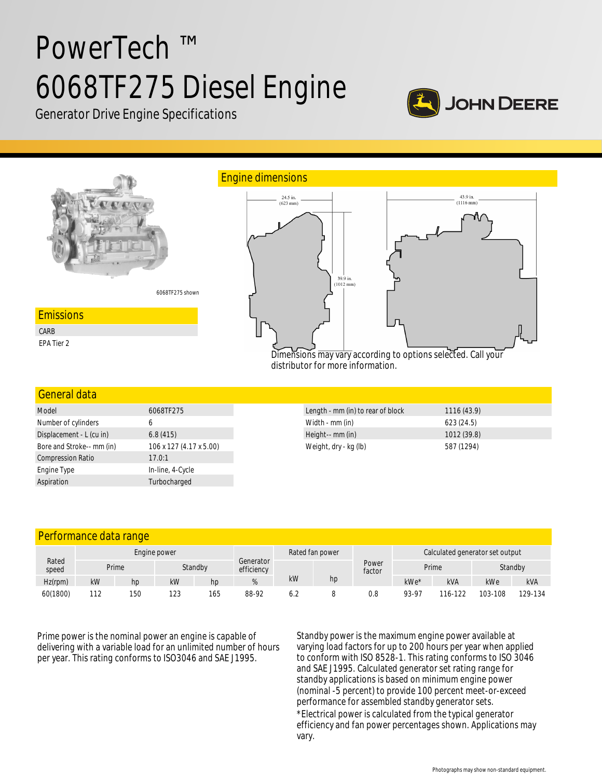# PowerTech ™ 6068TF275 Diesel Engine



Generator Drive Engine Specifications



| <b>General data</b>       |                         |
|---------------------------|-------------------------|
| Model                     | 6068TF275               |
| Number of cylinders       | 6                       |
| Displacement - L (cu in)  | 6.8(415)                |
| Bore and Stroke-- mm (in) | 106 x 127 (4.17 x 5.00) |
| <b>Compression Ratio</b>  | 17.0:1                  |
| Engine Type               | In-line, 4-Cycle        |
| Aspiration                | Turbocharged            |

| Length - mm (in) to rear of block | 1116(43.9)  |
|-----------------------------------|-------------|
| Width - mm (in)                   | 623(24.5)   |
| Height-- mm (in)                  | 1012 (39.8) |
| Weight, dry - kg (lb)             | 587 (1294)  |

| Performance data range |  |  |
|------------------------|--|--|
|                        |  |  |

| Rated<br>speed | Engine power |       |     |         | Rated fan power         |     |    | Calculated generator set output |       |            |         |            |
|----------------|--------------|-------|-----|---------|-------------------------|-----|----|---------------------------------|-------|------------|---------|------------|
|                |              | Prime |     | Standby | Generator<br>efficiency |     |    | Power<br>factor                 | Prime |            | Standby |            |
| $Hz$ (rpm)     | kW           | hp    | kW  | hp      |                         | kW  | hp |                                 | kWe*  | <b>kVA</b> | kWe     | <b>kVA</b> |
| 60(1800)       | 112          | 150   | 123 | 165     | 88-92                   | 6.2 |    | 0.8                             | 93-97 | 116-122    | 103-108 | 129-134    |

Prime power is the nominal power an engine is capable of delivering with a variable load for an unlimited number of hours per year. This rating conforms to ISO3046 and SAE J1995.

Standby power is the maximum engine power available at varying load factors for up to 200 hours per year when applied to conform with ISO 8528-1. This rating conforms to ISO 3046 and SAE J1995. Calculated generator set rating range for standby applications is based on minimum engine power (nominal -5 percent) to provide 100 percent meet-or-exceed performance for assembled standby generator sets. \*Electrical power is calculated from the typical generator efficiency and fan power percentages shown. Applications may vary.